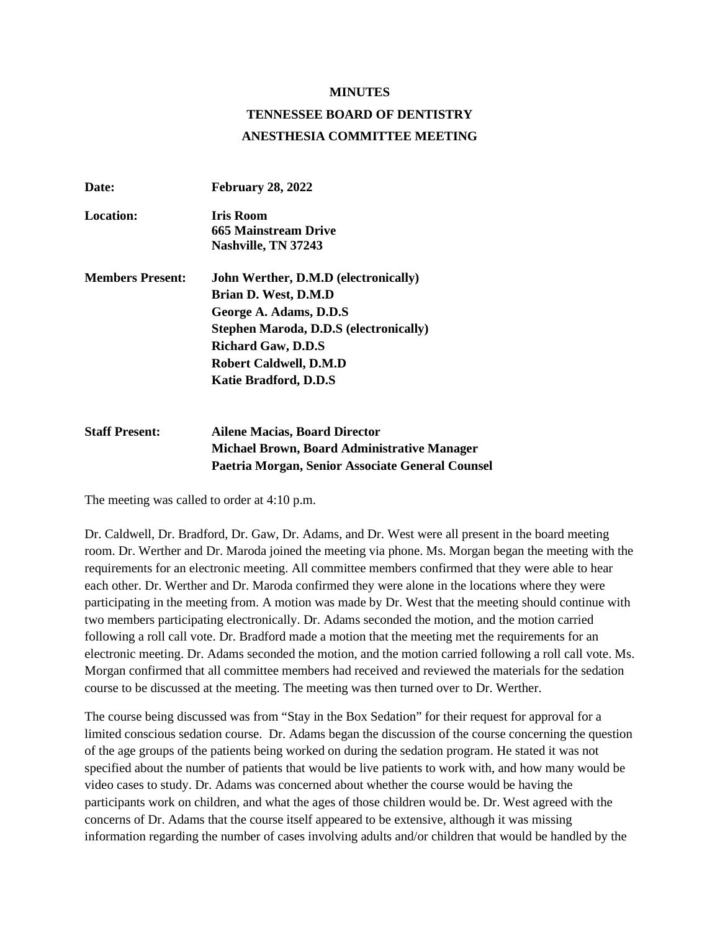## **MINUTES**

## **TENNESSEE BOARD OF DENTISTRY ANESTHESIA COMMITTEE MEETING**

| Date:                   | <b>February 28, 2022</b>                      |
|-------------------------|-----------------------------------------------|
| Location:               | <b>Iris Room</b>                              |
|                         | 665 Mainstream Drive                          |
|                         | Nashville, TN 37243                           |
| <b>Members Present:</b> | John Werther, D.M.D (electronically)          |
|                         | Brian D. West, D.M.D                          |
|                         | George A. Adams, D.D.S.                       |
|                         | <b>Stephen Maroda, D.D.S (electronically)</b> |
|                         | <b>Richard Gaw, D.D.S</b>                     |
|                         | <b>Robert Caldwell, D.M.D</b>                 |
|                         | <b>Katie Bradford, D.D.S</b>                  |
| <b>Staff Present:</b>   | Ailene Macias. Board Director                 |

**Michael Brown, Board Administrative Manager Paetria Morgan, Senior Associate General Counsel**

The meeting was called to order at 4:10 p.m.

Dr. Caldwell, Dr. Bradford, Dr. Gaw, Dr. Adams, and Dr. West were all present in the board meeting room. Dr. Werther and Dr. Maroda joined the meeting via phone. Ms. Morgan began the meeting with the requirements for an electronic meeting. All committee members confirmed that they were able to hear each other. Dr. Werther and Dr. Maroda confirmed they were alone in the locations where they were participating in the meeting from. A motion was made by Dr. West that the meeting should continue with two members participating electronically. Dr. Adams seconded the motion, and the motion carried following a roll call vote. Dr. Bradford made a motion that the meeting met the requirements for an electronic meeting. Dr. Adams seconded the motion, and the motion carried following a roll call vote. Ms. Morgan confirmed that all committee members had received and reviewed the materials for the sedation course to be discussed at the meeting. The meeting was then turned over to Dr. Werther.

The course being discussed was from "Stay in the Box Sedation" for their request for approval for a limited conscious sedation course. Dr. Adams began the discussion of the course concerning the question of the age groups of the patients being worked on during the sedation program. He stated it was not specified about the number of patients that would be live patients to work with, and how many would be video cases to study. Dr. Adams was concerned about whether the course would be having the participants work on children, and what the ages of those children would be. Dr. West agreed with the concerns of Dr. Adams that the course itself appeared to be extensive, although it was missing information regarding the number of cases involving adults and/or children that would be handled by the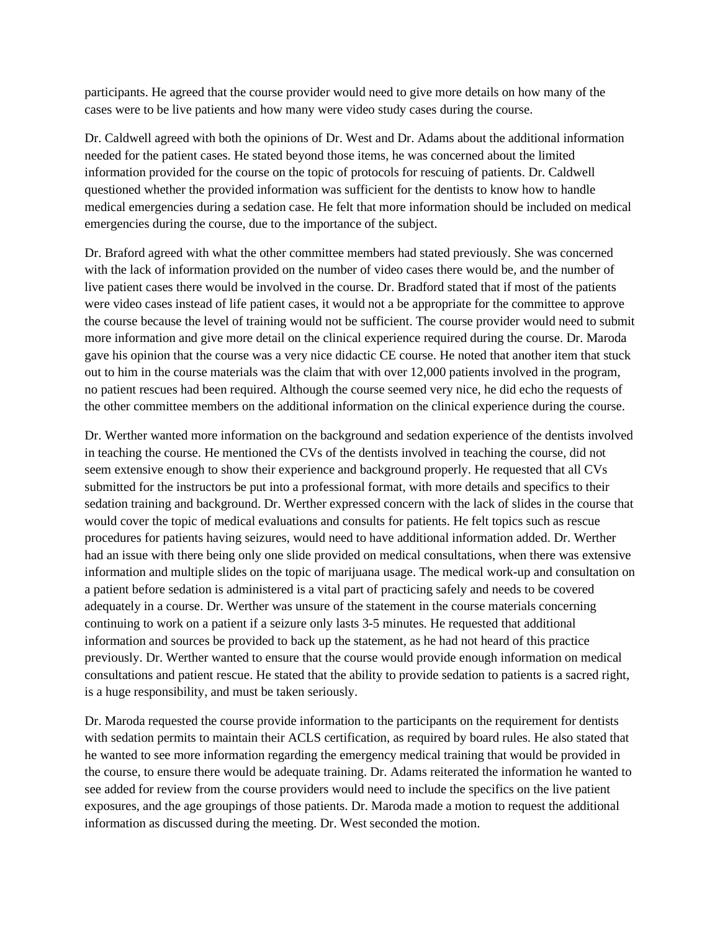participants. He agreed that the course provider would need to give more details on how many of the cases were to be live patients and how many were video study cases during the course.

Dr. Caldwell agreed with both the opinions of Dr. West and Dr. Adams about the additional information needed for the patient cases. He stated beyond those items, he was concerned about the limited information provided for the course on the topic of protocols for rescuing of patients. Dr. Caldwell questioned whether the provided information was sufficient for the dentists to know how to handle medical emergencies during a sedation case. He felt that more information should be included on medical emergencies during the course, due to the importance of the subject.

Dr. Braford agreed with what the other committee members had stated previously. She was concerned with the lack of information provided on the number of video cases there would be, and the number of live patient cases there would be involved in the course. Dr. Bradford stated that if most of the patients were video cases instead of life patient cases, it would not a be appropriate for the committee to approve the course because the level of training would not be sufficient. The course provider would need to submit more information and give more detail on the clinical experience required during the course. Dr. Maroda gave his opinion that the course was a very nice didactic CE course. He noted that another item that stuck out to him in the course materials was the claim that with over 12,000 patients involved in the program, no patient rescues had been required. Although the course seemed very nice, he did echo the requests of the other committee members on the additional information on the clinical experience during the course.

Dr. Werther wanted more information on the background and sedation experience of the dentists involved in teaching the course. He mentioned the CVs of the dentists involved in teaching the course, did not seem extensive enough to show their experience and background properly. He requested that all CVs submitted for the instructors be put into a professional format, with more details and specifics to their sedation training and background. Dr. Werther expressed concern with the lack of slides in the course that would cover the topic of medical evaluations and consults for patients. He felt topics such as rescue procedures for patients having seizures, would need to have additional information added. Dr. Werther had an issue with there being only one slide provided on medical consultations, when there was extensive information and multiple slides on the topic of marijuana usage. The medical work-up and consultation on a patient before sedation is administered is a vital part of practicing safely and needs to be covered adequately in a course. Dr. Werther was unsure of the statement in the course materials concerning continuing to work on a patient if a seizure only lasts 3-5 minutes. He requested that additional information and sources be provided to back up the statement, as he had not heard of this practice previously. Dr. Werther wanted to ensure that the course would provide enough information on medical consultations and patient rescue. He stated that the ability to provide sedation to patients is a sacred right, is a huge responsibility, and must be taken seriously.

Dr. Maroda requested the course provide information to the participants on the requirement for dentists with sedation permits to maintain their ACLS certification, as required by board rules. He also stated that he wanted to see more information regarding the emergency medical training that would be provided in the course, to ensure there would be adequate training. Dr. Adams reiterated the information he wanted to see added for review from the course providers would need to include the specifics on the live patient exposures, and the age groupings of those patients. Dr. Maroda made a motion to request the additional information as discussed during the meeting. Dr. West seconded the motion.